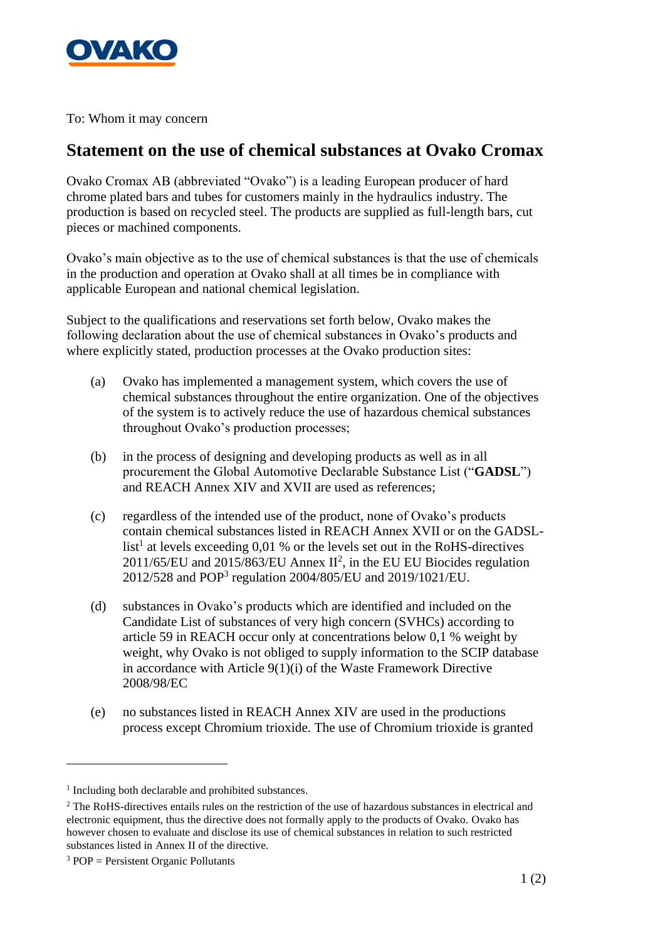

To: Whom it may concern

## **Statement on the use of chemical substances at Ovako Cromax**

Ovako Cromax AB (abbreviated "Ovako") is a leading European producer of hard chrome plated bars and tubes for customers mainly in the hydraulics industry. The production is based on recycled steel. The products are supplied as full-length bars, cut pieces or machined components.

Ovako's main objective as to the use of chemical substances is that the use of chemicals in the production and operation at Ovako shall at all times be in compliance with applicable European and national chemical legislation.

Subject to the qualifications and reservations set forth below, Ovako makes the following declaration about the use of chemical substances in Ovako's products and where explicitly stated, production processes at the Ovako production sites:

- (a) Ovako has implemented a management system, which covers the use of chemical substances throughout the entire organization. One of the objectives of the system is to actively reduce the use of hazardous chemical substances throughout Ovako's production processes;
- (b) in the process of designing and developing products as well as in all procurement the Global Automotive Declarable Substance List ("**GADSL**") and REACH Annex XIV and XVII are used as references;
- (c) regardless of the intended use of the product, none of Ovako's products contain chemical substances listed in REACH Annex XVII or on the GADSLlist<sup>1</sup> at levels exceeding 0,01 % or the levels set out in the RoHS-directives  $2011/65/EU$  and  $2015/863/EU$  Annex  $II^2$ , in the EU EU Biocides regulation 2012/528 and POP<sup>3</sup> regulation 2004/805/EU and 2019/1021/EU.
- (d) substances in Ovako's products which are identified and included on the Candidate List of substances of very high concern (SVHCs) according to article 59 in REACH occur only at concentrations below 0,1 % weight by weight, why Ovako is not obliged to supply information to the SCIP database in accordance with Article 9(1)(i) of the Waste Framework Directive 2008/98/EC
- (e) no substances listed in REACH Annex XIV are used in the productions process except Chromium trioxide. The use of Chromium trioxide is granted

<sup>&</sup>lt;sup>1</sup> Including both declarable and prohibited substances.

<sup>&</sup>lt;sup>2</sup> The RoHS-directives entails rules on the restriction of the use of hazardous substances in electrical and electronic equipment, thus the directive does not formally apply to the products of Ovako. Ovako has however chosen to evaluate and disclose its use of chemical substances in relation to such restricted substances listed in Annex II of the directive.

 $3 POP =$  Persistent Organic Pollutants